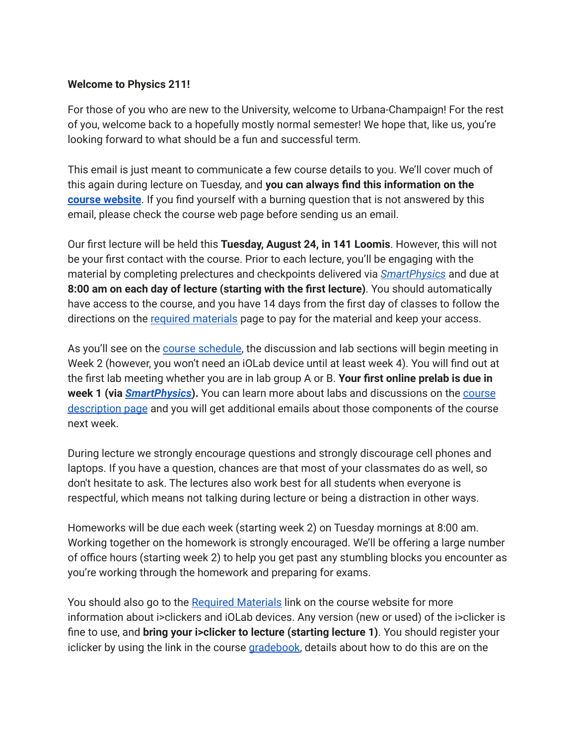## **Welcome to Physics 211!**

For those of you who are new to the University, welcome to Urbana-Champaign! For the rest of you, welcome back to a hopefully mostly normal semester! We hope that, like us, you're looking forward to what should be a fun and successful term.

This email is just meant to communicate a few course details to you. We'll cover much of this again during lecture on Tuesday, and **you can always find this information on the course [website](https://courses.physics.illinois.edu/phys211/fa2021/index.html)**. If you find yourself with a burning question that is not answered by this email, please check the course web page before sending us an email.

Our first lecture will be held this **Tuesday, August 24, in 141 Loomis**. However, this will not be your first contact with the course. Prior to each lecture, you'll be engaging with the material by completing prelectures and checkpoints delivered via *[SmartPhysics](https://smart.physics.illinois.edu/)* and due at **8:00 am on each day of lecture (starting with the first lecture)**. You should automatically have access to the course, and you have 14 days from the first day of classes to follow the directions on the required [materials](https://courses.physics.illinois.edu/phys211/fa2021/required-materials.html) page to pay for the material and keep your access.

As you'll see on the course [schedule,](https://courses.physics.illinois.edu/phys211/fa2021/syllabus.html) the discussion and lab sections will begin meeting in Week 2 (however, you won't need an iOLab device until at least week 4). You will find out at the first lab meeting whether you are in lab group A or B. **Your first online prelab is due in week 1 (via** *[SmartPhysics](https://smart.physics.illinois.edu/)***).** You can learn more about labs and discussions on the [course](https://courses.physics.illinois.edu/phys211/sp2020/course-description.html) [description](https://courses.physics.illinois.edu/phys211/sp2020/course-description.html) page and you will get additional emails about those components of the course next week.

During lecture we strongly encourage questions and strongly discourage cell phones and laptops. If you have a question, chances are that most of your classmates do as well, so don't hesitate to ask. The lectures also work best for all students when everyone is respectful, which means not talking during lecture or being a distraction in other ways.

Homeworks will be due each week (starting week 2) on Tuesday mornings at 8:00 am. Working together on the homework is strongly encouraged. We'll be offering a large number of office hours (starting week 2) to help you get past any stumbling blocks you encounter as you're working through the homework and preparing for exams.

You should also go to the Required [Materials](https://courses.physics.illinois.edu/phys211/fa2021/required-materials.html) link on the course website for more information about i>clickers and iOLab devices. Any version (new or used) of the i>clicker is fine to use, and **bring your i>clicker to lecture (starting lecture 1)**. You should register your iclicker by using the link in the course [gradebook,](https://my.physics.illinois.edu/gradebook/) details about how to do this are on th[e](https://courses.physics.illinois.edu/phys211/fa2021/iclicker.html)